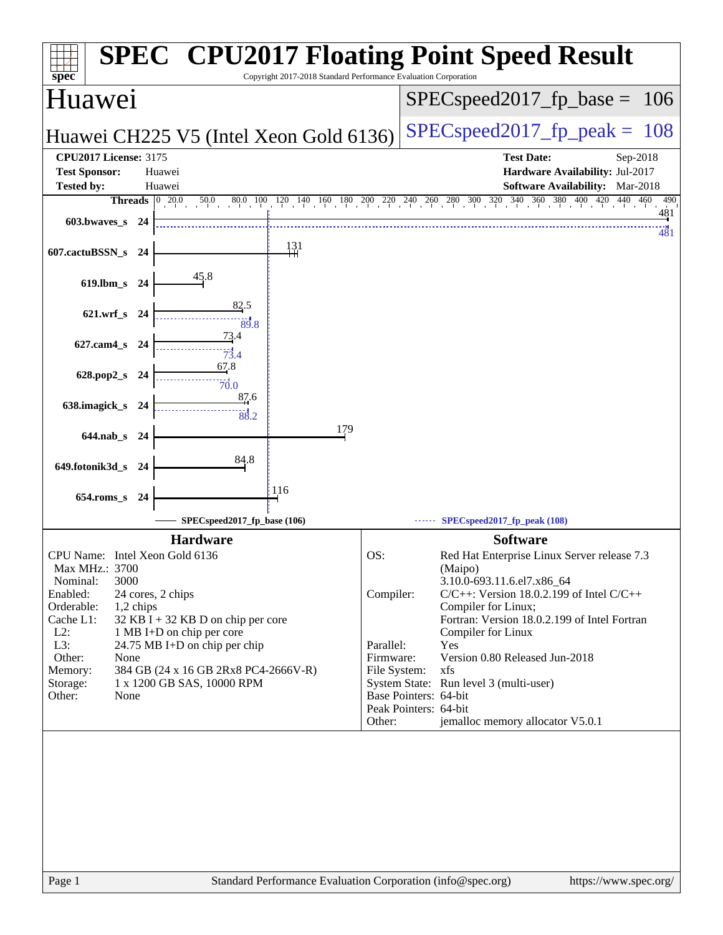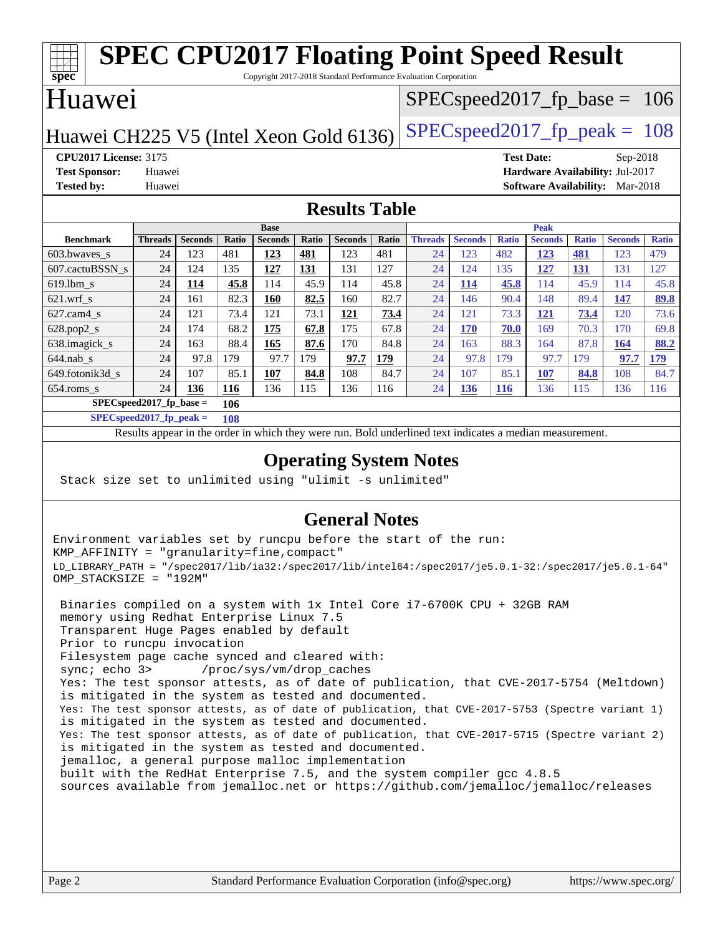#### **[spec](http://www.spec.org/) [SPEC CPU2017 Floating Point Speed Result](http://www.spec.org/auto/cpu2017/Docs/result-fields.html#SPECCPU2017FloatingPointSpeedResult)** Copyright 2017-2018 Standard Performance Evaluation Corporation Huawei Huawei CH225 V5 (Intel Xeon Gold 6136) SPECspeed 2017 fp peak =  $108$ SPECspeed2017 fp base  $= 106$ **[CPU2017 License:](http://www.spec.org/auto/cpu2017/Docs/result-fields.html#CPU2017License)** 3175 **[Test Date:](http://www.spec.org/auto/cpu2017/Docs/result-fields.html#TestDate)** Sep-2018 **[Test Sponsor:](http://www.spec.org/auto/cpu2017/Docs/result-fields.html#TestSponsor)** Huawei **[Hardware Availability:](http://www.spec.org/auto/cpu2017/Docs/result-fields.html#HardwareAvailability)** Jul-2017 **[Tested by:](http://www.spec.org/auto/cpu2017/Docs/result-fields.html#Testedby)** Huawei **[Software Availability:](http://www.spec.org/auto/cpu2017/Docs/result-fields.html#SoftwareAvailability)** Mar-2018 **[Results Table](http://www.spec.org/auto/cpu2017/Docs/result-fields.html#ResultsTable) [Benchmark](http://www.spec.org/auto/cpu2017/Docs/result-fields.html#Benchmark) [Threads](http://www.spec.org/auto/cpu2017/Docs/result-fields.html#Threads) [Seconds](http://www.spec.org/auto/cpu2017/Docs/result-fields.html#Seconds) [Ratio](http://www.spec.org/auto/cpu2017/Docs/result-fields.html#Ratio) [Seconds](http://www.spec.org/auto/cpu2017/Docs/result-fields.html#Seconds) [Ratio](http://www.spec.org/auto/cpu2017/Docs/result-fields.html#Ratio) [Seconds](http://www.spec.org/auto/cpu2017/Docs/result-fields.html#Seconds) [Ratio](http://www.spec.org/auto/cpu2017/Docs/result-fields.html#Ratio) Base [Threads](http://www.spec.org/auto/cpu2017/Docs/result-fields.html#Threads) [Seconds](http://www.spec.org/auto/cpu2017/Docs/result-fields.html#Seconds) [Ratio](http://www.spec.org/auto/cpu2017/Docs/result-fields.html#Ratio) [Seconds](http://www.spec.org/auto/cpu2017/Docs/result-fields.html#Seconds) [Ratio](http://www.spec.org/auto/cpu2017/Docs/result-fields.html#Ratio) [Seconds](http://www.spec.org/auto/cpu2017/Docs/result-fields.html#Seconds) [Ratio](http://www.spec.org/auto/cpu2017/Docs/result-fields.html#Ratio) Peak** [603.bwaves\\_s](http://www.spec.org/auto/cpu2017/Docs/benchmarks/603.bwaves_s.html) 24 123 481 **[123](http://www.spec.org/auto/cpu2017/Docs/result-fields.html#Median) [481](http://www.spec.org/auto/cpu2017/Docs/result-fields.html#Median)** 123 481 24 123 482 **[123](http://www.spec.org/auto/cpu2017/Docs/result-fields.html#Median) [481](http://www.spec.org/auto/cpu2017/Docs/result-fields.html#Median)** 123 479 [607.cactuBSSN\\_s](http://www.spec.org/auto/cpu2017/Docs/benchmarks/607.cactuBSSN_s.html) 24 124 135 **[127](http://www.spec.org/auto/cpu2017/Docs/result-fields.html#Median) [131](http://www.spec.org/auto/cpu2017/Docs/result-fields.html#Median)** 131 127 24 124 135 **[127](http://www.spec.org/auto/cpu2017/Docs/result-fields.html#Median) [131](http://www.spec.org/auto/cpu2017/Docs/result-fields.html#Median)** 131 127 [619.lbm\\_s](http://www.spec.org/auto/cpu2017/Docs/benchmarks/619.lbm_s.html) 24 **[114](http://www.spec.org/auto/cpu2017/Docs/result-fields.html#Median) [45.8](http://www.spec.org/auto/cpu2017/Docs/result-fields.html#Median)** 114 45.9 114 45.8 24 **[114](http://www.spec.org/auto/cpu2017/Docs/result-fields.html#Median) [45.8](http://www.spec.org/auto/cpu2017/Docs/result-fields.html#Median)** 114 45.9 114 45.8 [621.wrf\\_s](http://www.spec.org/auto/cpu2017/Docs/benchmarks/621.wrf_s.html) 24 161 82.3 **[160](http://www.spec.org/auto/cpu2017/Docs/result-fields.html#Median) [82.5](http://www.spec.org/auto/cpu2017/Docs/result-fields.html#Median)** 160 82.7 24 146 90.4 148 89.4 **[147](http://www.spec.org/auto/cpu2017/Docs/result-fields.html#Median) [89.8](http://www.spec.org/auto/cpu2017/Docs/result-fields.html#Median)** [627.cam4\\_s](http://www.spec.org/auto/cpu2017/Docs/benchmarks/627.cam4_s.html) 24 121 73.4 121 73.1 **[121](http://www.spec.org/auto/cpu2017/Docs/result-fields.html#Median) [73.4](http://www.spec.org/auto/cpu2017/Docs/result-fields.html#Median)** 24 121 73.3 **[121](http://www.spec.org/auto/cpu2017/Docs/result-fields.html#Median) [73.4](http://www.spec.org/auto/cpu2017/Docs/result-fields.html#Median)** 120 73.6 [628.pop2\\_s](http://www.spec.org/auto/cpu2017/Docs/benchmarks/628.pop2_s.html) 24 174 68.2 **[175](http://www.spec.org/auto/cpu2017/Docs/result-fields.html#Median) [67.8](http://www.spec.org/auto/cpu2017/Docs/result-fields.html#Median)** 175 67.8 24 **[170](http://www.spec.org/auto/cpu2017/Docs/result-fields.html#Median) [70.0](http://www.spec.org/auto/cpu2017/Docs/result-fields.html#Median)** 169 70.3 170 69.8 [638.imagick\\_s](http://www.spec.org/auto/cpu2017/Docs/benchmarks/638.imagick_s.html) 24 163 88.4 **[165](http://www.spec.org/auto/cpu2017/Docs/result-fields.html#Median) [87.6](http://www.spec.org/auto/cpu2017/Docs/result-fields.html#Median)** 170 84.8 24 163 88.3 164 87.8 **[164](http://www.spec.org/auto/cpu2017/Docs/result-fields.html#Median) [88.2](http://www.spec.org/auto/cpu2017/Docs/result-fields.html#Median)** [644.nab\\_s](http://www.spec.org/auto/cpu2017/Docs/benchmarks/644.nab_s.html) 24 97.8 179 97.7 179 **[97.7](http://www.spec.org/auto/cpu2017/Docs/result-fields.html#Median) [179](http://www.spec.org/auto/cpu2017/Docs/result-fields.html#Median)** 24 97.8 179 97.7 179 **[97.7](http://www.spec.org/auto/cpu2017/Docs/result-fields.html#Median) [179](http://www.spec.org/auto/cpu2017/Docs/result-fields.html#Median)** [649.fotonik3d\\_s](http://www.spec.org/auto/cpu2017/Docs/benchmarks/649.fotonik3d_s.html) 24 107 85.1 **[107](http://www.spec.org/auto/cpu2017/Docs/result-fields.html#Median) [84.8](http://www.spec.org/auto/cpu2017/Docs/result-fields.html#Median)** 108 84.7 24 107 85.1 **[107](http://www.spec.org/auto/cpu2017/Docs/result-fields.html#Median) [84.8](http://www.spec.org/auto/cpu2017/Docs/result-fields.html#Median)** 108 84.7 [654.roms\\_s](http://www.spec.org/auto/cpu2017/Docs/benchmarks/654.roms_s.html) 24 **[136](http://www.spec.org/auto/cpu2017/Docs/result-fields.html#Median) [116](http://www.spec.org/auto/cpu2017/Docs/result-fields.html#Median)** 136 115 136 116 24 **[136](http://www.spec.org/auto/cpu2017/Docs/result-fields.html#Median) [116](http://www.spec.org/auto/cpu2017/Docs/result-fields.html#Median)** 136 115 136 116 **[SPECspeed2017\\_fp\\_base =](http://www.spec.org/auto/cpu2017/Docs/result-fields.html#SPECspeed2017fpbase) 106**

**[SPECspeed2017\\_fp\\_peak =](http://www.spec.org/auto/cpu2017/Docs/result-fields.html#SPECspeed2017fppeak) 108**

Results appear in the [order in which they were run.](http://www.spec.org/auto/cpu2017/Docs/result-fields.html#RunOrder) Bold underlined text [indicates a median measurement](http://www.spec.org/auto/cpu2017/Docs/result-fields.html#Median).

#### **[Operating System Notes](http://www.spec.org/auto/cpu2017/Docs/result-fields.html#OperatingSystemNotes)**

Stack size set to unlimited using "ulimit -s unlimited"

#### **[General Notes](http://www.spec.org/auto/cpu2017/Docs/result-fields.html#GeneralNotes)**

Environment variables set by runcpu before the start of the run: KMP\_AFFINITY = "granularity=fine,compact" LD\_LIBRARY\_PATH = "/spec2017/lib/ia32:/spec2017/lib/intel64:/spec2017/je5.0.1-32:/spec2017/je5.0.1-64" OMP\_STACKSIZE = "192M"

 Binaries compiled on a system with 1x Intel Core i7-6700K CPU + 32GB RAM memory using Redhat Enterprise Linux 7.5 Transparent Huge Pages enabled by default Prior to runcpu invocation Filesystem page cache synced and cleared with: sync; echo 3> /proc/sys/vm/drop\_caches Yes: The test sponsor attests, as of date of publication, that CVE-2017-5754 (Meltdown) is mitigated in the system as tested and documented. Yes: The test sponsor attests, as of date of publication, that CVE-2017-5753 (Spectre variant 1) is mitigated in the system as tested and documented. Yes: The test sponsor attests, as of date of publication, that CVE-2017-5715 (Spectre variant 2) is mitigated in the system as tested and documented. jemalloc, a general purpose malloc implementation built with the RedHat Enterprise 7.5, and the system compiler gcc 4.8.5 sources available from jemalloc.net or <https://github.com/jemalloc/jemalloc/releases>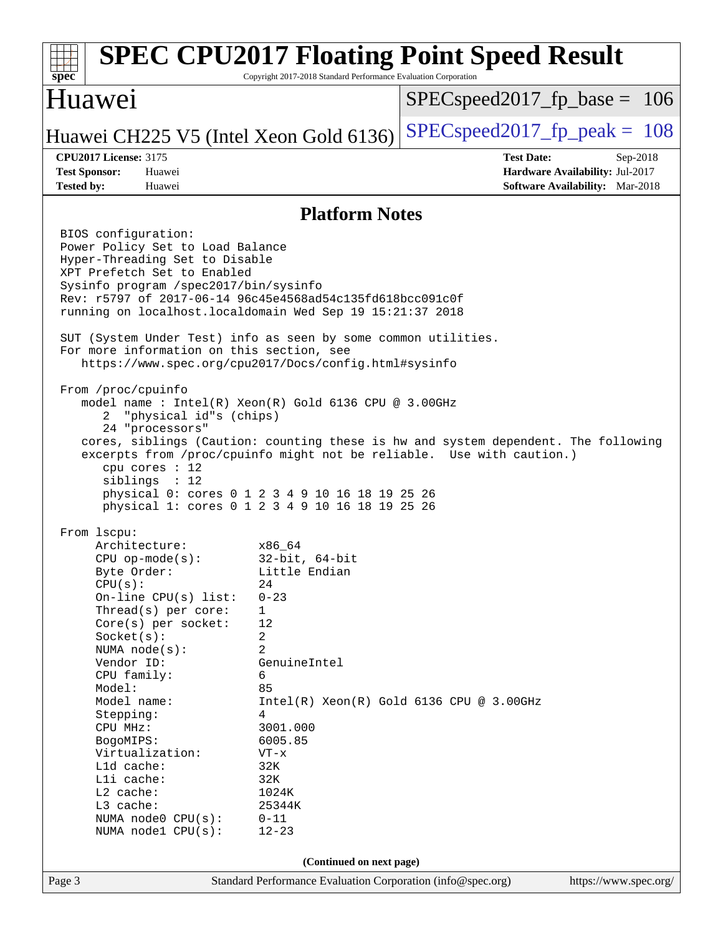#### Page 3 Standard Performance Evaluation Corporation [\(info@spec.org\)](mailto:info@spec.org) <https://www.spec.org/> **[spec](http://www.spec.org/) [SPEC CPU2017 Floating Point Speed Result](http://www.spec.org/auto/cpu2017/Docs/result-fields.html#SPECCPU2017FloatingPointSpeedResult)** Copyright 2017-2018 Standard Performance Evaluation Corporation Huawei Huawei CH225 V5 (Intel Xeon Gold 6136) SPECspeed 2017 fp peak =  $108$ SPECspeed2017 fp base =  $106$ **[CPU2017 License:](http://www.spec.org/auto/cpu2017/Docs/result-fields.html#CPU2017License)** 3175 **[Test Date:](http://www.spec.org/auto/cpu2017/Docs/result-fields.html#TestDate)** Sep-2018 **[Test Sponsor:](http://www.spec.org/auto/cpu2017/Docs/result-fields.html#TestSponsor)** Huawei **[Hardware Availability:](http://www.spec.org/auto/cpu2017/Docs/result-fields.html#HardwareAvailability)** Jul-2017 **[Tested by:](http://www.spec.org/auto/cpu2017/Docs/result-fields.html#Testedby)** Huawei **[Software Availability:](http://www.spec.org/auto/cpu2017/Docs/result-fields.html#SoftwareAvailability)** Mar-2018 **[Platform Notes](http://www.spec.org/auto/cpu2017/Docs/result-fields.html#PlatformNotes)** BIOS configuration: Power Policy Set to Load Balance Hyper-Threading Set to Disable XPT Prefetch Set to Enabled Sysinfo program /spec2017/bin/sysinfo Rev: r5797 of 2017-06-14 96c45e4568ad54c135fd618bcc091c0f running on localhost.localdomain Wed Sep 19 15:21:37 2018 SUT (System Under Test) info as seen by some common utilities. For more information on this section, see <https://www.spec.org/cpu2017/Docs/config.html#sysinfo> From /proc/cpuinfo model name : Intel(R) Xeon(R) Gold 6136 CPU @ 3.00GHz 2 "physical id"s (chips) 24 "processors" cores, siblings (Caution: counting these is hw and system dependent. The following excerpts from /proc/cpuinfo might not be reliable. Use with caution.) cpu cores : 12 siblings : 12 physical 0: cores 0 1 2 3 4 9 10 16 18 19 25 26 physical 1: cores 0 1 2 3 4 9 10 16 18 19 25 26 From lscpu: Architecture: x86\_64 CPU op-mode(s): 32-bit, 64-bit Byte Order: Little Endian  $CPU(s):$  24 On-line CPU(s) list: 0-23 Thread(s) per core: 1 Core(s) per socket: 12 Socket(s): 2 NUMA node(s): 2 Vendor ID: GenuineIntel CPU family: 6 Model: 85 Model name:  $Intel(R)$  Xeon(R) Gold 6136 CPU @ 3.00GHz Stepping: 4 CPU MHz: 3001.000 BogoMIPS: 6005.85 Virtualization: VT-x L1d cache: 32K L1i cache: 32K L2 cache: 1024K L3 cache: 25344K NUMA node0 CPU(s): 0-11 NUMA node1 CPU(s): 12-23 **(Continued on next page)**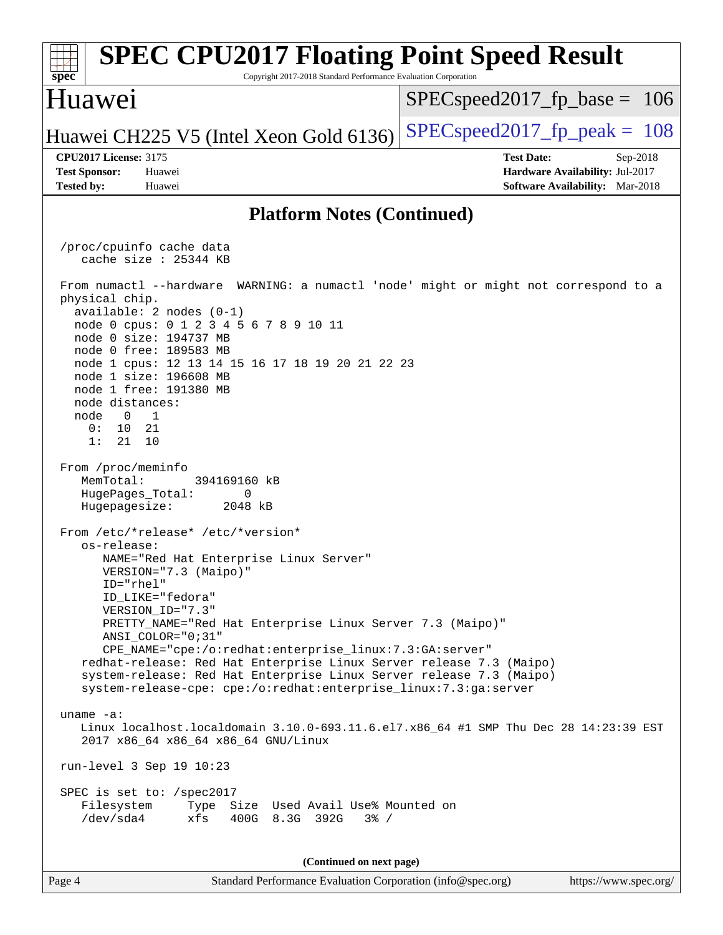#### Page 4 Standard Performance Evaluation Corporation [\(info@spec.org\)](mailto:info@spec.org) <https://www.spec.org/> **[spec](http://www.spec.org/) [SPEC CPU2017 Floating Point Speed Result](http://www.spec.org/auto/cpu2017/Docs/result-fields.html#SPECCPU2017FloatingPointSpeedResult)** Copyright 2017-2018 Standard Performance Evaluation Corporation Huawei Huawei CH225 V5 (Intel Xeon Gold 6136) SPECspeed 2017 fp peak =  $108$ SPECspeed2017 fp base =  $106$ **[CPU2017 License:](http://www.spec.org/auto/cpu2017/Docs/result-fields.html#CPU2017License)** 3175 **[Test Date:](http://www.spec.org/auto/cpu2017/Docs/result-fields.html#TestDate)** Sep-2018 **[Test Sponsor:](http://www.spec.org/auto/cpu2017/Docs/result-fields.html#TestSponsor)** Huawei **[Hardware Availability:](http://www.spec.org/auto/cpu2017/Docs/result-fields.html#HardwareAvailability)** Jul-2017 **[Tested by:](http://www.spec.org/auto/cpu2017/Docs/result-fields.html#Testedby)** Huawei **[Software Availability:](http://www.spec.org/auto/cpu2017/Docs/result-fields.html#SoftwareAvailability)** Mar-2018 **[Platform Notes \(Continued\)](http://www.spec.org/auto/cpu2017/Docs/result-fields.html#PlatformNotes)** /proc/cpuinfo cache data cache size : 25344 KB From numactl --hardware WARNING: a numactl 'node' might or might not correspond to a physical chip. available: 2 nodes (0-1) node 0 cpus: 0 1 2 3 4 5 6 7 8 9 10 11 node 0 size: 194737 MB node 0 free: 189583 MB node 1 cpus: 12 13 14 15 16 17 18 19 20 21 22 23 node 1 size: 196608 MB node 1 free: 191380 MB node distances: node 0 1 0: 10 21 1: 21 10 From /proc/meminfo MemTotal: 394169160 kB HugePages\_Total: 0 Hugepagesize: 2048 kB From /etc/\*release\* /etc/\*version\* os-release: NAME="Red Hat Enterprise Linux Server" VERSION="7.3 (Maipo)" ID="rhel" ID\_LIKE="fedora" VERSION\_ID="7.3" PRETTY\_NAME="Red Hat Enterprise Linux Server 7.3 (Maipo)" ANSI\_COLOR="0;31" CPE\_NAME="cpe:/o:redhat:enterprise\_linux:7.3:GA:server" redhat-release: Red Hat Enterprise Linux Server release 7.3 (Maipo) system-release: Red Hat Enterprise Linux Server release 7.3 (Maipo) system-release-cpe: cpe:/o:redhat:enterprise\_linux:7.3:ga:server uname -a: Linux localhost.localdomain 3.10.0-693.11.6.el7.x86\_64 #1 SMP Thu Dec 28 14:23:39 EST 2017 x86\_64 x86\_64 x86\_64 GNU/Linux run-level 3 Sep 19 10:23 SPEC is set to: /spec2017 Filesystem Type Size Used Avail Use% Mounted on /dev/sda4 xfs 400G 8.3G 392G 3% / **(Continued on next page)**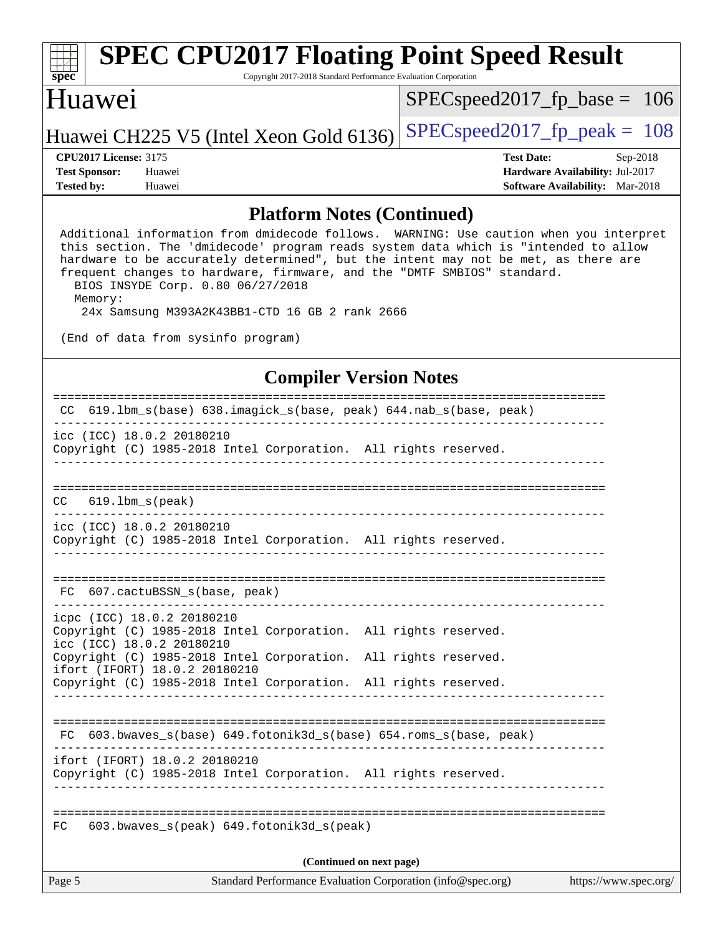# **[spec](http://www.spec.org/)**

# **[SPEC CPU2017 Floating Point Speed Result](http://www.spec.org/auto/cpu2017/Docs/result-fields.html#SPECCPU2017FloatingPointSpeedResult)**

Copyright 2017-2018 Standard Performance Evaluation Corporation

### Huawei

[SPECspeed2017\\_fp\\_base =](http://www.spec.org/auto/cpu2017/Docs/result-fields.html#SPECspeed2017fpbase) 106

### Huawei CH225 V5 (Intel Xeon Gold 6136) SPECspeed 2017 fp peak =  $108$

**[Tested by:](http://www.spec.org/auto/cpu2017/Docs/result-fields.html#Testedby)** Huawei **[Software Availability:](http://www.spec.org/auto/cpu2017/Docs/result-fields.html#SoftwareAvailability)** Mar-2018

**[CPU2017 License:](http://www.spec.org/auto/cpu2017/Docs/result-fields.html#CPU2017License)** 3175 **[Test Date:](http://www.spec.org/auto/cpu2017/Docs/result-fields.html#TestDate)** Sep-2018 **[Test Sponsor:](http://www.spec.org/auto/cpu2017/Docs/result-fields.html#TestSponsor)** Huawei **[Hardware Availability:](http://www.spec.org/auto/cpu2017/Docs/result-fields.html#HardwareAvailability)** Jul-2017

#### **[Platform Notes \(Continued\)](http://www.spec.org/auto/cpu2017/Docs/result-fields.html#PlatformNotes)**

 Additional information from dmidecode follows. WARNING: Use caution when you interpret this section. The 'dmidecode' program reads system data which is "intended to allow hardware to be accurately determined", but the intent may not be met, as there are frequent changes to hardware, firmware, and the "DMTF SMBIOS" standard. BIOS INSYDE Corp. 0.80 06/27/2018 Memory: 24x Samsung M393A2K43BB1-CTD 16 GB 2 rank 2666

(End of data from sysinfo program)

#### **[Compiler Version Notes](http://www.spec.org/auto/cpu2017/Docs/result-fields.html#CompilerVersionNotes)**

| Page 5<br>Standard Performance Evaluation Corporation (info@spec.org)<br>https://www.spec.org/ |                                                                                                                            |                          |                                                                    |  |
|------------------------------------------------------------------------------------------------|----------------------------------------------------------------------------------------------------------------------------|--------------------------|--------------------------------------------------------------------|--|
|                                                                                                |                                                                                                                            | (Continued on next page) |                                                                    |  |
| FC                                                                                             | 603.bwaves_s(peak) 649.fotonik3d_s(peak)                                                                                   |                          |                                                                    |  |
|                                                                                                | ifort (IFORT) 18.0.2 20180210<br>Copyright (C) 1985-2018 Intel Corporation. All rights reserved.                           |                          |                                                                    |  |
| FC 603.bwaves_s(base) 649.fotonik3d_s(base) 654.roms_s(base, peak)                             |                                                                                                                            |                          |                                                                    |  |
|                                                                                                | Copyright (C) 1985-2018 Intel Corporation. All rights reserved.                                                            |                          |                                                                    |  |
|                                                                                                | Copyright (C) 1985-2018 Intel Corporation. All rights reserved.<br>ifort (IFORT) 18.0.2 20180210                           |                          |                                                                    |  |
|                                                                                                | icpc (ICC) 18.0.2 20180210<br>Copyright (C) 1985-2018 Intel Corporation. All rights reserved.<br>icc (ICC) 18.0.2 20180210 |                          |                                                                    |  |
|                                                                                                | FC 607.cactuBSSN_s(base, peak)                                                                                             |                          |                                                                    |  |
|                                                                                                |                                                                                                                            |                          |                                                                    |  |
|                                                                                                | icc (ICC) 18.0.2 20180210<br>Copyright (C) 1985-2018 Intel Corporation. All rights reserved.                               |                          |                                                                    |  |
|                                                                                                | $CC$ 619.1bm_s(peak)                                                                                                       |                          |                                                                    |  |
|                                                                                                | Copyright (C) 1985-2018 Intel Corporation. All rights reserved.                                                            |                          |                                                                    |  |
|                                                                                                | _______________________________<br>icc (ICC) 18.0.2 20180210                                                               |                          |                                                                    |  |
|                                                                                                |                                                                                                                            |                          | CC 619.1bm_s(base) 638.imagick_s(base, peak) 644.nab_s(base, peak) |  |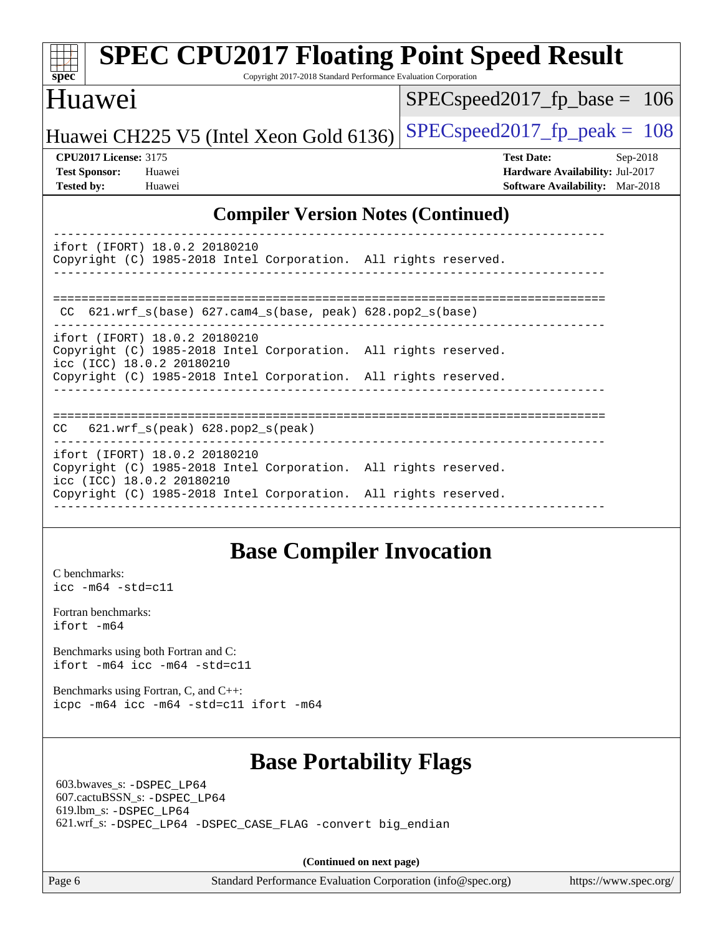| <b>SPEC CPU2017 Floating Point Speed Result</b>                                                                               |                                        |  |  |  |  |  |
|-------------------------------------------------------------------------------------------------------------------------------|----------------------------------------|--|--|--|--|--|
| Copyright 2017-2018 Standard Performance Evaluation Corporation<br>$s\overline{p}\overline{e}\overline{c}$                    |                                        |  |  |  |  |  |
| <b>Huawei</b>                                                                                                                 | $SPEC speed2017_fp\_base = 106$        |  |  |  |  |  |
| Huawei CH225 V5 (Intel Xeon Gold 6136)                                                                                        | $SPEC speed2017_fp\_peak = 108$        |  |  |  |  |  |
| <b>CPU2017 License: 3175</b>                                                                                                  | <b>Test Date:</b><br>$Sep-2018$        |  |  |  |  |  |
| <b>Test Sponsor:</b><br>Huawei                                                                                                | Hardware Availability: Jul-2017        |  |  |  |  |  |
| <b>Tested by:</b><br>Huawei                                                                                                   | <b>Software Availability:</b> Mar-2018 |  |  |  |  |  |
| <b>Compiler Version Notes (Continued)</b>                                                                                     |                                        |  |  |  |  |  |
| ifort (IFORT) 18.0.2 20180210<br>Copyright (C) 1985-2018 Intel Corporation. All rights reserved.                              |                                        |  |  |  |  |  |
| 621.wrf_s(base) 627.cam4_s(base, peak) 628.pop2_s(base)<br>CC.                                                                |                                        |  |  |  |  |  |
| ifort (IFORT) 18.0.2 20180210<br>Copyright (C) 1985-2018 Intel Corporation. All rights reserved.<br>icc (ICC) 18.0.2 20180210 |                                        |  |  |  |  |  |
| Copyright (C) 1985-2018 Intel Corporation. All rights reserved.                                                               |                                        |  |  |  |  |  |
| $621.wrf_s(peak) 628.pop2_s(peak)$<br>CC                                                                                      |                                        |  |  |  |  |  |

ifort (IFORT) 18.0.2 20180210 Copyright (C) 1985-2018 Intel Corporation. All rights reserved. icc (ICC) 18.0.2 20180210 Copyright (C) 1985-2018 Intel Corporation. All rights reserved. ------------------------------------------------------------------------------

## **[Base Compiler Invocation](http://www.spec.org/auto/cpu2017/Docs/result-fields.html#BaseCompilerInvocation)**

[C benchmarks](http://www.spec.org/auto/cpu2017/Docs/result-fields.html#Cbenchmarks): [icc -m64 -std=c11](http://www.spec.org/cpu2017/results/res2018q4/cpu2017-20180920-08931.flags.html#user_CCbase_intel_icc_64bit_c11_33ee0cdaae7deeeab2a9725423ba97205ce30f63b9926c2519791662299b76a0318f32ddfffdc46587804de3178b4f9328c46fa7c2b0cd779d7a61945c91cd35)

[Fortran benchmarks](http://www.spec.org/auto/cpu2017/Docs/result-fields.html#Fortranbenchmarks): [ifort -m64](http://www.spec.org/cpu2017/results/res2018q4/cpu2017-20180920-08931.flags.html#user_FCbase_intel_ifort_64bit_24f2bb282fbaeffd6157abe4f878425411749daecae9a33200eee2bee2fe76f3b89351d69a8130dd5949958ce389cf37ff59a95e7a40d588e8d3a57e0c3fd751)

[Benchmarks using both Fortran and C](http://www.spec.org/auto/cpu2017/Docs/result-fields.html#BenchmarksusingbothFortranandC): [ifort -m64](http://www.spec.org/cpu2017/results/res2018q4/cpu2017-20180920-08931.flags.html#user_CC_FCbase_intel_ifort_64bit_24f2bb282fbaeffd6157abe4f878425411749daecae9a33200eee2bee2fe76f3b89351d69a8130dd5949958ce389cf37ff59a95e7a40d588e8d3a57e0c3fd751) [icc -m64 -std=c11](http://www.spec.org/cpu2017/results/res2018q4/cpu2017-20180920-08931.flags.html#user_CC_FCbase_intel_icc_64bit_c11_33ee0cdaae7deeeab2a9725423ba97205ce30f63b9926c2519791662299b76a0318f32ddfffdc46587804de3178b4f9328c46fa7c2b0cd779d7a61945c91cd35)

[Benchmarks using Fortran, C, and C++:](http://www.spec.org/auto/cpu2017/Docs/result-fields.html#BenchmarksusingFortranCandCXX) [icpc -m64](http://www.spec.org/cpu2017/results/res2018q4/cpu2017-20180920-08931.flags.html#user_CC_CXX_FCbase_intel_icpc_64bit_4ecb2543ae3f1412ef961e0650ca070fec7b7afdcd6ed48761b84423119d1bf6bdf5cad15b44d48e7256388bc77273b966e5eb805aefd121eb22e9299b2ec9d9) [icc -m64 -std=c11](http://www.spec.org/cpu2017/results/res2018q4/cpu2017-20180920-08931.flags.html#user_CC_CXX_FCbase_intel_icc_64bit_c11_33ee0cdaae7deeeab2a9725423ba97205ce30f63b9926c2519791662299b76a0318f32ddfffdc46587804de3178b4f9328c46fa7c2b0cd779d7a61945c91cd35) [ifort -m64](http://www.spec.org/cpu2017/results/res2018q4/cpu2017-20180920-08931.flags.html#user_CC_CXX_FCbase_intel_ifort_64bit_24f2bb282fbaeffd6157abe4f878425411749daecae9a33200eee2bee2fe76f3b89351d69a8130dd5949958ce389cf37ff59a95e7a40d588e8d3a57e0c3fd751)

### **[Base Portability Flags](http://www.spec.org/auto/cpu2017/Docs/result-fields.html#BasePortabilityFlags)**

 603.bwaves\_s: [-DSPEC\\_LP64](http://www.spec.org/cpu2017/results/res2018q4/cpu2017-20180920-08931.flags.html#suite_basePORTABILITY603_bwaves_s_DSPEC_LP64) 607.cactuBSSN\_s: [-DSPEC\\_LP64](http://www.spec.org/cpu2017/results/res2018q4/cpu2017-20180920-08931.flags.html#suite_basePORTABILITY607_cactuBSSN_s_DSPEC_LP64) 619.lbm\_s: [-DSPEC\\_LP64](http://www.spec.org/cpu2017/results/res2018q4/cpu2017-20180920-08931.flags.html#suite_basePORTABILITY619_lbm_s_DSPEC_LP64) 621.wrf\_s: [-DSPEC\\_LP64](http://www.spec.org/cpu2017/results/res2018q4/cpu2017-20180920-08931.flags.html#suite_basePORTABILITY621_wrf_s_DSPEC_LP64) [-DSPEC\\_CASE\\_FLAG](http://www.spec.org/cpu2017/results/res2018q4/cpu2017-20180920-08931.flags.html#b621.wrf_s_baseCPORTABILITY_DSPEC_CASE_FLAG) [-convert big\\_endian](http://www.spec.org/cpu2017/results/res2018q4/cpu2017-20180920-08931.flags.html#user_baseFPORTABILITY621_wrf_s_convert_big_endian_c3194028bc08c63ac5d04de18c48ce6d347e4e562e8892b8bdbdc0214820426deb8554edfa529a3fb25a586e65a3d812c835984020483e7e73212c4d31a38223)

**(Continued on next page)**

Page 6 Standard Performance Evaluation Corporation [\(info@spec.org\)](mailto:info@spec.org) <https://www.spec.org/>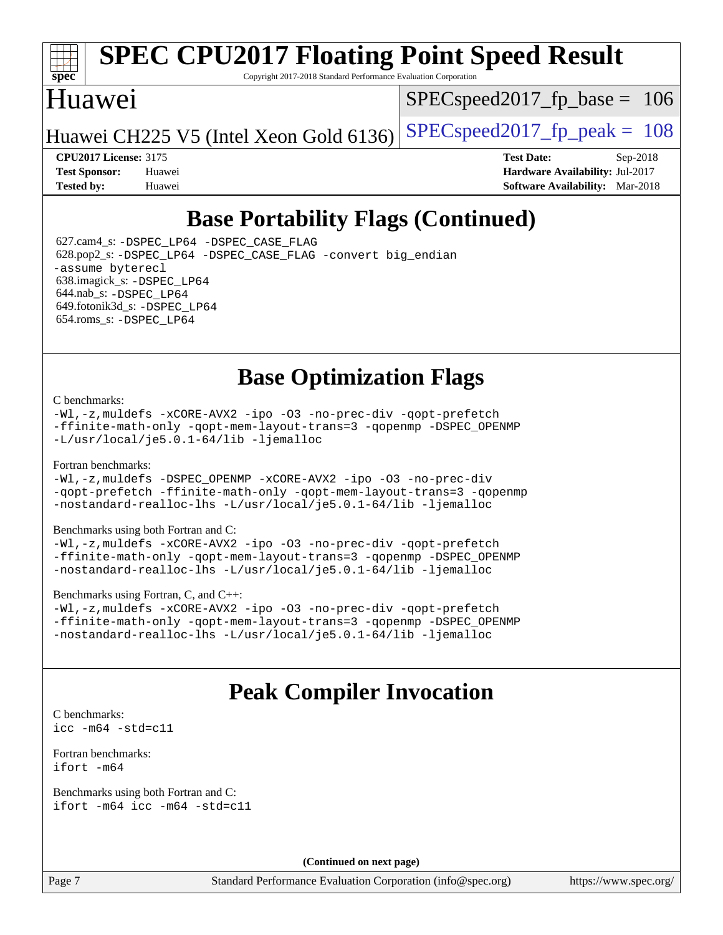

# **[SPEC CPU2017 Floating Point Speed Result](http://www.spec.org/auto/cpu2017/Docs/result-fields.html#SPECCPU2017FloatingPointSpeedResult)**

Copyright 2017-2018 Standard Performance Evaluation Corporation

### Huawei

SPECspeed2017 fp base =  $106$ 

Huawei CH225 V5 (Intel Xeon Gold 6136) SPECspeed 2017 fp peak =  $108$ 

**[CPU2017 License:](http://www.spec.org/auto/cpu2017/Docs/result-fields.html#CPU2017License)** 3175 **[Test Date:](http://www.spec.org/auto/cpu2017/Docs/result-fields.html#TestDate)** Sep-2018 **[Test Sponsor:](http://www.spec.org/auto/cpu2017/Docs/result-fields.html#TestSponsor)** Huawei **[Hardware Availability:](http://www.spec.org/auto/cpu2017/Docs/result-fields.html#HardwareAvailability)** Jul-2017 **[Tested by:](http://www.spec.org/auto/cpu2017/Docs/result-fields.html#Testedby)** Huawei **[Software Availability:](http://www.spec.org/auto/cpu2017/Docs/result-fields.html#SoftwareAvailability)** Mar-2018

## **[Base Portability Flags \(Continued\)](http://www.spec.org/auto/cpu2017/Docs/result-fields.html#BasePortabilityFlags)**

 627.cam4\_s: [-DSPEC\\_LP64](http://www.spec.org/cpu2017/results/res2018q4/cpu2017-20180920-08931.flags.html#suite_basePORTABILITY627_cam4_s_DSPEC_LP64) [-DSPEC\\_CASE\\_FLAG](http://www.spec.org/cpu2017/results/res2018q4/cpu2017-20180920-08931.flags.html#b627.cam4_s_baseCPORTABILITY_DSPEC_CASE_FLAG) 628.pop2\_s: [-DSPEC\\_LP64](http://www.spec.org/cpu2017/results/res2018q4/cpu2017-20180920-08931.flags.html#suite_basePORTABILITY628_pop2_s_DSPEC_LP64) [-DSPEC\\_CASE\\_FLAG](http://www.spec.org/cpu2017/results/res2018q4/cpu2017-20180920-08931.flags.html#b628.pop2_s_baseCPORTABILITY_DSPEC_CASE_FLAG) [-convert big\\_endian](http://www.spec.org/cpu2017/results/res2018q4/cpu2017-20180920-08931.flags.html#user_baseFPORTABILITY628_pop2_s_convert_big_endian_c3194028bc08c63ac5d04de18c48ce6d347e4e562e8892b8bdbdc0214820426deb8554edfa529a3fb25a586e65a3d812c835984020483e7e73212c4d31a38223) [-assume byterecl](http://www.spec.org/cpu2017/results/res2018q4/cpu2017-20180920-08931.flags.html#user_baseFPORTABILITY628_pop2_s_assume_byterecl_7e47d18b9513cf18525430bbf0f2177aa9bf368bc7a059c09b2c06a34b53bd3447c950d3f8d6c70e3faf3a05c8557d66a5798b567902e8849adc142926523472) 638.imagick\_s: [-DSPEC\\_LP64](http://www.spec.org/cpu2017/results/res2018q4/cpu2017-20180920-08931.flags.html#suite_basePORTABILITY638_imagick_s_DSPEC_LP64) 644.nab\_s: [-DSPEC\\_LP64](http://www.spec.org/cpu2017/results/res2018q4/cpu2017-20180920-08931.flags.html#suite_basePORTABILITY644_nab_s_DSPEC_LP64) 649.fotonik3d\_s: [-DSPEC\\_LP64](http://www.spec.org/cpu2017/results/res2018q4/cpu2017-20180920-08931.flags.html#suite_basePORTABILITY649_fotonik3d_s_DSPEC_LP64) 654.roms\_s: [-DSPEC\\_LP64](http://www.spec.org/cpu2017/results/res2018q4/cpu2017-20180920-08931.flags.html#suite_basePORTABILITY654_roms_s_DSPEC_LP64)

## **[Base Optimization Flags](http://www.spec.org/auto/cpu2017/Docs/result-fields.html#BaseOptimizationFlags)**

#### [C benchmarks](http://www.spec.org/auto/cpu2017/Docs/result-fields.html#Cbenchmarks):

[-Wl,-z,muldefs](http://www.spec.org/cpu2017/results/res2018q4/cpu2017-20180920-08931.flags.html#user_CCbase_link_force_multiple1_b4cbdb97b34bdee9ceefcfe54f4c8ea74255f0b02a4b23e853cdb0e18eb4525ac79b5a88067c842dd0ee6996c24547a27a4b99331201badda8798ef8a743f577) [-xCORE-AVX2](http://www.spec.org/cpu2017/results/res2018q4/cpu2017-20180920-08931.flags.html#user_CCbase_f-xCORE-AVX2) [-ipo](http://www.spec.org/cpu2017/results/res2018q4/cpu2017-20180920-08931.flags.html#user_CCbase_f-ipo) [-O3](http://www.spec.org/cpu2017/results/res2018q4/cpu2017-20180920-08931.flags.html#user_CCbase_f-O3) [-no-prec-div](http://www.spec.org/cpu2017/results/res2018q4/cpu2017-20180920-08931.flags.html#user_CCbase_f-no-prec-div) [-qopt-prefetch](http://www.spec.org/cpu2017/results/res2018q4/cpu2017-20180920-08931.flags.html#user_CCbase_f-qopt-prefetch) [-ffinite-math-only](http://www.spec.org/cpu2017/results/res2018q4/cpu2017-20180920-08931.flags.html#user_CCbase_f_finite_math_only_cb91587bd2077682c4b38af759c288ed7c732db004271a9512da14a4f8007909a5f1427ecbf1a0fb78ff2a814402c6114ac565ca162485bbcae155b5e4258871) [-qopt-mem-layout-trans=3](http://www.spec.org/cpu2017/results/res2018q4/cpu2017-20180920-08931.flags.html#user_CCbase_f-qopt-mem-layout-trans_de80db37974c74b1f0e20d883f0b675c88c3b01e9d123adea9b28688d64333345fb62bc4a798493513fdb68f60282f9a726aa07f478b2f7113531aecce732043) [-qopenmp](http://www.spec.org/cpu2017/results/res2018q4/cpu2017-20180920-08931.flags.html#user_CCbase_qopenmp_16be0c44f24f464004c6784a7acb94aca937f053568ce72f94b139a11c7c168634a55f6653758ddd83bcf7b8463e8028bb0b48b77bcddc6b78d5d95bb1df2967) [-DSPEC\\_OPENMP](http://www.spec.org/cpu2017/results/res2018q4/cpu2017-20180920-08931.flags.html#suite_CCbase_DSPEC_OPENMP) [-L/usr/local/je5.0.1-64/lib](http://www.spec.org/cpu2017/results/res2018q4/cpu2017-20180920-08931.flags.html#user_CCbase_jemalloc_link_path64_4b10a636b7bce113509b17f3bd0d6226c5fb2346b9178c2d0232c14f04ab830f976640479e5c33dc2bcbbdad86ecfb6634cbbd4418746f06f368b512fced5394) [-ljemalloc](http://www.spec.org/cpu2017/results/res2018q4/cpu2017-20180920-08931.flags.html#user_CCbase_jemalloc_link_lib_d1249b907c500fa1c0672f44f562e3d0f79738ae9e3c4a9c376d49f265a04b9c99b167ecedbf6711b3085be911c67ff61f150a17b3472be731631ba4d0471706)

#### [Fortran benchmarks](http://www.spec.org/auto/cpu2017/Docs/result-fields.html#Fortranbenchmarks):

[-Wl,-z,muldefs](http://www.spec.org/cpu2017/results/res2018q4/cpu2017-20180920-08931.flags.html#user_FCbase_link_force_multiple1_b4cbdb97b34bdee9ceefcfe54f4c8ea74255f0b02a4b23e853cdb0e18eb4525ac79b5a88067c842dd0ee6996c24547a27a4b99331201badda8798ef8a743f577) [-DSPEC\\_OPENMP](http://www.spec.org/cpu2017/results/res2018q4/cpu2017-20180920-08931.flags.html#suite_FCbase_DSPEC_OPENMP) [-xCORE-AVX2](http://www.spec.org/cpu2017/results/res2018q4/cpu2017-20180920-08931.flags.html#user_FCbase_f-xCORE-AVX2) [-ipo](http://www.spec.org/cpu2017/results/res2018q4/cpu2017-20180920-08931.flags.html#user_FCbase_f-ipo) [-O3](http://www.spec.org/cpu2017/results/res2018q4/cpu2017-20180920-08931.flags.html#user_FCbase_f-O3) [-no-prec-div](http://www.spec.org/cpu2017/results/res2018q4/cpu2017-20180920-08931.flags.html#user_FCbase_f-no-prec-div) [-qopt-prefetch](http://www.spec.org/cpu2017/results/res2018q4/cpu2017-20180920-08931.flags.html#user_FCbase_f-qopt-prefetch) [-ffinite-math-only](http://www.spec.org/cpu2017/results/res2018q4/cpu2017-20180920-08931.flags.html#user_FCbase_f_finite_math_only_cb91587bd2077682c4b38af759c288ed7c732db004271a9512da14a4f8007909a5f1427ecbf1a0fb78ff2a814402c6114ac565ca162485bbcae155b5e4258871) [-qopt-mem-layout-trans=3](http://www.spec.org/cpu2017/results/res2018q4/cpu2017-20180920-08931.flags.html#user_FCbase_f-qopt-mem-layout-trans_de80db37974c74b1f0e20d883f0b675c88c3b01e9d123adea9b28688d64333345fb62bc4a798493513fdb68f60282f9a726aa07f478b2f7113531aecce732043) [-qopenmp](http://www.spec.org/cpu2017/results/res2018q4/cpu2017-20180920-08931.flags.html#user_FCbase_qopenmp_16be0c44f24f464004c6784a7acb94aca937f053568ce72f94b139a11c7c168634a55f6653758ddd83bcf7b8463e8028bb0b48b77bcddc6b78d5d95bb1df2967) [-nostandard-realloc-lhs](http://www.spec.org/cpu2017/results/res2018q4/cpu2017-20180920-08931.flags.html#user_FCbase_f_2003_std_realloc_82b4557e90729c0f113870c07e44d33d6f5a304b4f63d4c15d2d0f1fab99f5daaed73bdb9275d9ae411527f28b936061aa8b9c8f2d63842963b95c9dd6426b8a) [-L/usr/local/je5.0.1-64/lib](http://www.spec.org/cpu2017/results/res2018q4/cpu2017-20180920-08931.flags.html#user_FCbase_jemalloc_link_path64_4b10a636b7bce113509b17f3bd0d6226c5fb2346b9178c2d0232c14f04ab830f976640479e5c33dc2bcbbdad86ecfb6634cbbd4418746f06f368b512fced5394) [-ljemalloc](http://www.spec.org/cpu2017/results/res2018q4/cpu2017-20180920-08931.flags.html#user_FCbase_jemalloc_link_lib_d1249b907c500fa1c0672f44f562e3d0f79738ae9e3c4a9c376d49f265a04b9c99b167ecedbf6711b3085be911c67ff61f150a17b3472be731631ba4d0471706)

#### [Benchmarks using both Fortran and C](http://www.spec.org/auto/cpu2017/Docs/result-fields.html#BenchmarksusingbothFortranandC):

[-Wl,-z,muldefs](http://www.spec.org/cpu2017/results/res2018q4/cpu2017-20180920-08931.flags.html#user_CC_FCbase_link_force_multiple1_b4cbdb97b34bdee9ceefcfe54f4c8ea74255f0b02a4b23e853cdb0e18eb4525ac79b5a88067c842dd0ee6996c24547a27a4b99331201badda8798ef8a743f577) [-xCORE-AVX2](http://www.spec.org/cpu2017/results/res2018q4/cpu2017-20180920-08931.flags.html#user_CC_FCbase_f-xCORE-AVX2) [-ipo](http://www.spec.org/cpu2017/results/res2018q4/cpu2017-20180920-08931.flags.html#user_CC_FCbase_f-ipo) [-O3](http://www.spec.org/cpu2017/results/res2018q4/cpu2017-20180920-08931.flags.html#user_CC_FCbase_f-O3) [-no-prec-div](http://www.spec.org/cpu2017/results/res2018q4/cpu2017-20180920-08931.flags.html#user_CC_FCbase_f-no-prec-div) [-qopt-prefetch](http://www.spec.org/cpu2017/results/res2018q4/cpu2017-20180920-08931.flags.html#user_CC_FCbase_f-qopt-prefetch) [-ffinite-math-only](http://www.spec.org/cpu2017/results/res2018q4/cpu2017-20180920-08931.flags.html#user_CC_FCbase_f_finite_math_only_cb91587bd2077682c4b38af759c288ed7c732db004271a9512da14a4f8007909a5f1427ecbf1a0fb78ff2a814402c6114ac565ca162485bbcae155b5e4258871) [-qopt-mem-layout-trans=3](http://www.spec.org/cpu2017/results/res2018q4/cpu2017-20180920-08931.flags.html#user_CC_FCbase_f-qopt-mem-layout-trans_de80db37974c74b1f0e20d883f0b675c88c3b01e9d123adea9b28688d64333345fb62bc4a798493513fdb68f60282f9a726aa07f478b2f7113531aecce732043) [-qopenmp](http://www.spec.org/cpu2017/results/res2018q4/cpu2017-20180920-08931.flags.html#user_CC_FCbase_qopenmp_16be0c44f24f464004c6784a7acb94aca937f053568ce72f94b139a11c7c168634a55f6653758ddd83bcf7b8463e8028bb0b48b77bcddc6b78d5d95bb1df2967) [-DSPEC\\_OPENMP](http://www.spec.org/cpu2017/results/res2018q4/cpu2017-20180920-08931.flags.html#suite_CC_FCbase_DSPEC_OPENMP) [-nostandard-realloc-lhs](http://www.spec.org/cpu2017/results/res2018q4/cpu2017-20180920-08931.flags.html#user_CC_FCbase_f_2003_std_realloc_82b4557e90729c0f113870c07e44d33d6f5a304b4f63d4c15d2d0f1fab99f5daaed73bdb9275d9ae411527f28b936061aa8b9c8f2d63842963b95c9dd6426b8a) [-L/usr/local/je5.0.1-64/lib](http://www.spec.org/cpu2017/results/res2018q4/cpu2017-20180920-08931.flags.html#user_CC_FCbase_jemalloc_link_path64_4b10a636b7bce113509b17f3bd0d6226c5fb2346b9178c2d0232c14f04ab830f976640479e5c33dc2bcbbdad86ecfb6634cbbd4418746f06f368b512fced5394) [-ljemalloc](http://www.spec.org/cpu2017/results/res2018q4/cpu2017-20180920-08931.flags.html#user_CC_FCbase_jemalloc_link_lib_d1249b907c500fa1c0672f44f562e3d0f79738ae9e3c4a9c376d49f265a04b9c99b167ecedbf6711b3085be911c67ff61f150a17b3472be731631ba4d0471706)

#### [Benchmarks using Fortran, C, and C++:](http://www.spec.org/auto/cpu2017/Docs/result-fields.html#BenchmarksusingFortranCandCXX)

[-Wl,-z,muldefs](http://www.spec.org/cpu2017/results/res2018q4/cpu2017-20180920-08931.flags.html#user_CC_CXX_FCbase_link_force_multiple1_b4cbdb97b34bdee9ceefcfe54f4c8ea74255f0b02a4b23e853cdb0e18eb4525ac79b5a88067c842dd0ee6996c24547a27a4b99331201badda8798ef8a743f577) [-xCORE-AVX2](http://www.spec.org/cpu2017/results/res2018q4/cpu2017-20180920-08931.flags.html#user_CC_CXX_FCbase_f-xCORE-AVX2) [-ipo](http://www.spec.org/cpu2017/results/res2018q4/cpu2017-20180920-08931.flags.html#user_CC_CXX_FCbase_f-ipo) [-O3](http://www.spec.org/cpu2017/results/res2018q4/cpu2017-20180920-08931.flags.html#user_CC_CXX_FCbase_f-O3) [-no-prec-div](http://www.spec.org/cpu2017/results/res2018q4/cpu2017-20180920-08931.flags.html#user_CC_CXX_FCbase_f-no-prec-div) [-qopt-prefetch](http://www.spec.org/cpu2017/results/res2018q4/cpu2017-20180920-08931.flags.html#user_CC_CXX_FCbase_f-qopt-prefetch) [-ffinite-math-only](http://www.spec.org/cpu2017/results/res2018q4/cpu2017-20180920-08931.flags.html#user_CC_CXX_FCbase_f_finite_math_only_cb91587bd2077682c4b38af759c288ed7c732db004271a9512da14a4f8007909a5f1427ecbf1a0fb78ff2a814402c6114ac565ca162485bbcae155b5e4258871) [-qopt-mem-layout-trans=3](http://www.spec.org/cpu2017/results/res2018q4/cpu2017-20180920-08931.flags.html#user_CC_CXX_FCbase_f-qopt-mem-layout-trans_de80db37974c74b1f0e20d883f0b675c88c3b01e9d123adea9b28688d64333345fb62bc4a798493513fdb68f60282f9a726aa07f478b2f7113531aecce732043) [-qopenmp](http://www.spec.org/cpu2017/results/res2018q4/cpu2017-20180920-08931.flags.html#user_CC_CXX_FCbase_qopenmp_16be0c44f24f464004c6784a7acb94aca937f053568ce72f94b139a11c7c168634a55f6653758ddd83bcf7b8463e8028bb0b48b77bcddc6b78d5d95bb1df2967) [-DSPEC\\_OPENMP](http://www.spec.org/cpu2017/results/res2018q4/cpu2017-20180920-08931.flags.html#suite_CC_CXX_FCbase_DSPEC_OPENMP) [-nostandard-realloc-lhs](http://www.spec.org/cpu2017/results/res2018q4/cpu2017-20180920-08931.flags.html#user_CC_CXX_FCbase_f_2003_std_realloc_82b4557e90729c0f113870c07e44d33d6f5a304b4f63d4c15d2d0f1fab99f5daaed73bdb9275d9ae411527f28b936061aa8b9c8f2d63842963b95c9dd6426b8a) [-L/usr/local/je5.0.1-64/lib](http://www.spec.org/cpu2017/results/res2018q4/cpu2017-20180920-08931.flags.html#user_CC_CXX_FCbase_jemalloc_link_path64_4b10a636b7bce113509b17f3bd0d6226c5fb2346b9178c2d0232c14f04ab830f976640479e5c33dc2bcbbdad86ecfb6634cbbd4418746f06f368b512fced5394) [-ljemalloc](http://www.spec.org/cpu2017/results/res2018q4/cpu2017-20180920-08931.flags.html#user_CC_CXX_FCbase_jemalloc_link_lib_d1249b907c500fa1c0672f44f562e3d0f79738ae9e3c4a9c376d49f265a04b9c99b167ecedbf6711b3085be911c67ff61f150a17b3472be731631ba4d0471706)

### **[Peak Compiler Invocation](http://www.spec.org/auto/cpu2017/Docs/result-fields.html#PeakCompilerInvocation)**

[C benchmarks](http://www.spec.org/auto/cpu2017/Docs/result-fields.html#Cbenchmarks): [icc -m64 -std=c11](http://www.spec.org/cpu2017/results/res2018q4/cpu2017-20180920-08931.flags.html#user_CCpeak_intel_icc_64bit_c11_33ee0cdaae7deeeab2a9725423ba97205ce30f63b9926c2519791662299b76a0318f32ddfffdc46587804de3178b4f9328c46fa7c2b0cd779d7a61945c91cd35)

[Fortran benchmarks](http://www.spec.org/auto/cpu2017/Docs/result-fields.html#Fortranbenchmarks): [ifort -m64](http://www.spec.org/cpu2017/results/res2018q4/cpu2017-20180920-08931.flags.html#user_FCpeak_intel_ifort_64bit_24f2bb282fbaeffd6157abe4f878425411749daecae9a33200eee2bee2fe76f3b89351d69a8130dd5949958ce389cf37ff59a95e7a40d588e8d3a57e0c3fd751)

[Benchmarks using both Fortran and C](http://www.spec.org/auto/cpu2017/Docs/result-fields.html#BenchmarksusingbothFortranandC): [ifort -m64](http://www.spec.org/cpu2017/results/res2018q4/cpu2017-20180920-08931.flags.html#user_CC_FCpeak_intel_ifort_64bit_24f2bb282fbaeffd6157abe4f878425411749daecae9a33200eee2bee2fe76f3b89351d69a8130dd5949958ce389cf37ff59a95e7a40d588e8d3a57e0c3fd751) [icc -m64 -std=c11](http://www.spec.org/cpu2017/results/res2018q4/cpu2017-20180920-08931.flags.html#user_CC_FCpeak_intel_icc_64bit_c11_33ee0cdaae7deeeab2a9725423ba97205ce30f63b9926c2519791662299b76a0318f32ddfffdc46587804de3178b4f9328c46fa7c2b0cd779d7a61945c91cd35)

**(Continued on next page)**

Page 7 Standard Performance Evaluation Corporation [\(info@spec.org\)](mailto:info@spec.org) <https://www.spec.org/>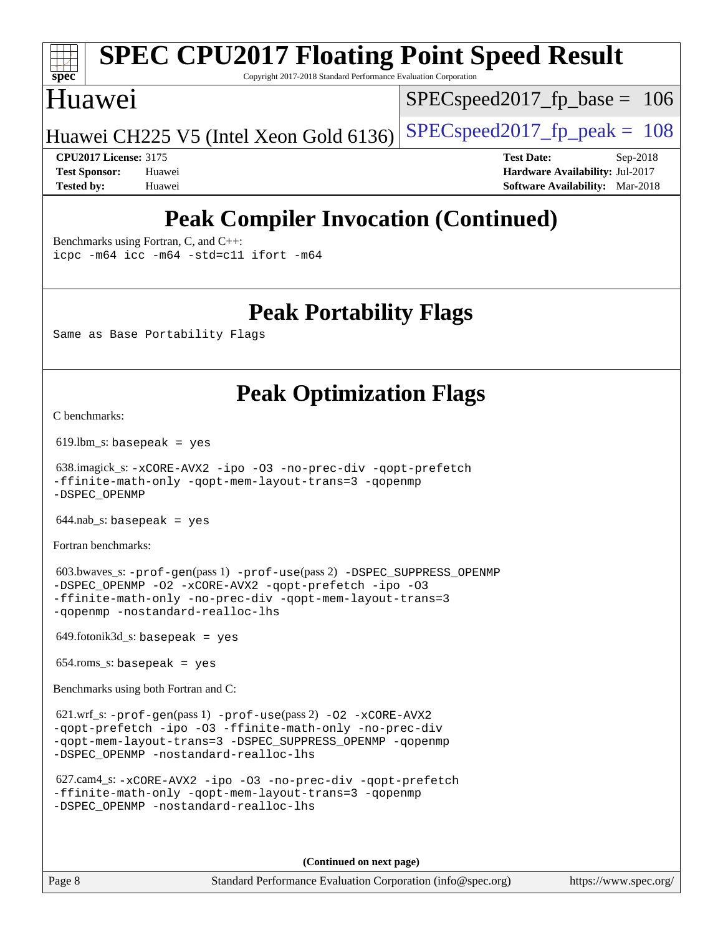# **[spec](http://www.spec.org/)**

# **[SPEC CPU2017 Floating Point Speed Result](http://www.spec.org/auto/cpu2017/Docs/result-fields.html#SPECCPU2017FloatingPointSpeedResult)**

Copyright 2017-2018 Standard Performance Evaluation Corporation

### Huawei

SPECspeed2017 fp base  $= 106$ 

Huawei CH225 V5 (Intel Xeon Gold 6136) SPECspeed 2017 fp peak =  $108$ 

**[CPU2017 License:](http://www.spec.org/auto/cpu2017/Docs/result-fields.html#CPU2017License)** 3175 **[Test Date:](http://www.spec.org/auto/cpu2017/Docs/result-fields.html#TestDate)** Sep-2018 **[Test Sponsor:](http://www.spec.org/auto/cpu2017/Docs/result-fields.html#TestSponsor)** Huawei **[Hardware Availability:](http://www.spec.org/auto/cpu2017/Docs/result-fields.html#HardwareAvailability)** Jul-2017 **[Tested by:](http://www.spec.org/auto/cpu2017/Docs/result-fields.html#Testedby)** Huawei **[Software Availability:](http://www.spec.org/auto/cpu2017/Docs/result-fields.html#SoftwareAvailability)** Mar-2018

## **[Peak Compiler Invocation \(Continued\)](http://www.spec.org/auto/cpu2017/Docs/result-fields.html#PeakCompilerInvocation)**

[Benchmarks using Fortran, C, and C++:](http://www.spec.org/auto/cpu2017/Docs/result-fields.html#BenchmarksusingFortranCandCXX) [icpc -m64](http://www.spec.org/cpu2017/results/res2018q4/cpu2017-20180920-08931.flags.html#user_CC_CXX_FCpeak_intel_icpc_64bit_4ecb2543ae3f1412ef961e0650ca070fec7b7afdcd6ed48761b84423119d1bf6bdf5cad15b44d48e7256388bc77273b966e5eb805aefd121eb22e9299b2ec9d9) [icc -m64 -std=c11](http://www.spec.org/cpu2017/results/res2018q4/cpu2017-20180920-08931.flags.html#user_CC_CXX_FCpeak_intel_icc_64bit_c11_33ee0cdaae7deeeab2a9725423ba97205ce30f63b9926c2519791662299b76a0318f32ddfffdc46587804de3178b4f9328c46fa7c2b0cd779d7a61945c91cd35) [ifort -m64](http://www.spec.org/cpu2017/results/res2018q4/cpu2017-20180920-08931.flags.html#user_CC_CXX_FCpeak_intel_ifort_64bit_24f2bb282fbaeffd6157abe4f878425411749daecae9a33200eee2bee2fe76f3b89351d69a8130dd5949958ce389cf37ff59a95e7a40d588e8d3a57e0c3fd751)

**[Peak Portability Flags](http://www.spec.org/auto/cpu2017/Docs/result-fields.html#PeakPortabilityFlags)**

Same as Base Portability Flags

## **[Peak Optimization Flags](http://www.spec.org/auto/cpu2017/Docs/result-fields.html#PeakOptimizationFlags)**

[C benchmarks](http://www.spec.org/auto/cpu2017/Docs/result-fields.html#Cbenchmarks):

619.lbm\_s: basepeak = yes

 638.imagick\_s: [-xCORE-AVX2](http://www.spec.org/cpu2017/results/res2018q4/cpu2017-20180920-08931.flags.html#user_peakCOPTIMIZE638_imagick_s_f-xCORE-AVX2) [-ipo](http://www.spec.org/cpu2017/results/res2018q4/cpu2017-20180920-08931.flags.html#user_peakCOPTIMIZE638_imagick_s_f-ipo) [-O3](http://www.spec.org/cpu2017/results/res2018q4/cpu2017-20180920-08931.flags.html#user_peakCOPTIMIZE638_imagick_s_f-O3) [-no-prec-div](http://www.spec.org/cpu2017/results/res2018q4/cpu2017-20180920-08931.flags.html#user_peakCOPTIMIZE638_imagick_s_f-no-prec-div) [-qopt-prefetch](http://www.spec.org/cpu2017/results/res2018q4/cpu2017-20180920-08931.flags.html#user_peakCOPTIMIZE638_imagick_s_f-qopt-prefetch) [-ffinite-math-only](http://www.spec.org/cpu2017/results/res2018q4/cpu2017-20180920-08931.flags.html#user_peakCOPTIMIZE638_imagick_s_f_finite_math_only_cb91587bd2077682c4b38af759c288ed7c732db004271a9512da14a4f8007909a5f1427ecbf1a0fb78ff2a814402c6114ac565ca162485bbcae155b5e4258871) [-qopt-mem-layout-trans=3](http://www.spec.org/cpu2017/results/res2018q4/cpu2017-20180920-08931.flags.html#user_peakCOPTIMIZE638_imagick_s_f-qopt-mem-layout-trans_de80db37974c74b1f0e20d883f0b675c88c3b01e9d123adea9b28688d64333345fb62bc4a798493513fdb68f60282f9a726aa07f478b2f7113531aecce732043) [-qopenmp](http://www.spec.org/cpu2017/results/res2018q4/cpu2017-20180920-08931.flags.html#user_peakCOPTIMIZE638_imagick_s_qopenmp_16be0c44f24f464004c6784a7acb94aca937f053568ce72f94b139a11c7c168634a55f6653758ddd83bcf7b8463e8028bb0b48b77bcddc6b78d5d95bb1df2967) [-DSPEC\\_OPENMP](http://www.spec.org/cpu2017/results/res2018q4/cpu2017-20180920-08931.flags.html#suite_peakCOPTIMIZE638_imagick_s_DSPEC_OPENMP)

 $644$ .nab\_s: basepeak = yes

[Fortran benchmarks](http://www.spec.org/auto/cpu2017/Docs/result-fields.html#Fortranbenchmarks):

 603.bwaves\_s: [-prof-gen](http://www.spec.org/cpu2017/results/res2018q4/cpu2017-20180920-08931.flags.html#user_peakPASS1_FFLAGSPASS1_LDFLAGS603_bwaves_s_prof_gen_5aa4926d6013ddb2a31985c654b3eb18169fc0c6952a63635c234f711e6e63dd76e94ad52365559451ec499a2cdb89e4dc58ba4c67ef54ca681ffbe1461d6b36)(pass 1) [-prof-use](http://www.spec.org/cpu2017/results/res2018q4/cpu2017-20180920-08931.flags.html#user_peakPASS2_FFLAGSPASS2_LDFLAGS603_bwaves_s_prof_use_1a21ceae95f36a2b53c25747139a6c16ca95bd9def2a207b4f0849963b97e94f5260e30a0c64f4bb623698870e679ca08317ef8150905d41bd88c6f78df73f19)(pass 2) [-DSPEC\\_SUPPRESS\\_OPENMP](http://www.spec.org/cpu2017/results/res2018q4/cpu2017-20180920-08931.flags.html#suite_peakPASS1_FOPTIMIZE603_bwaves_s_DSPEC_SUPPRESS_OPENMP) [-DSPEC\\_OPENMP](http://www.spec.org/cpu2017/results/res2018q4/cpu2017-20180920-08931.flags.html#suite_peakPASS2_FOPTIMIZE603_bwaves_s_DSPEC_OPENMP) [-O2](http://www.spec.org/cpu2017/results/res2018q4/cpu2017-20180920-08931.flags.html#user_peakPASS1_FOPTIMIZE603_bwaves_s_f-O2) [-xCORE-AVX2](http://www.spec.org/cpu2017/results/res2018q4/cpu2017-20180920-08931.flags.html#user_peakPASS2_FOPTIMIZE603_bwaves_s_f-xCORE-AVX2) [-qopt-prefetch](http://www.spec.org/cpu2017/results/res2018q4/cpu2017-20180920-08931.flags.html#user_peakPASS1_FOPTIMIZEPASS2_FOPTIMIZE603_bwaves_s_f-qopt-prefetch) [-ipo](http://www.spec.org/cpu2017/results/res2018q4/cpu2017-20180920-08931.flags.html#user_peakPASS2_FOPTIMIZE603_bwaves_s_f-ipo) [-O3](http://www.spec.org/cpu2017/results/res2018q4/cpu2017-20180920-08931.flags.html#user_peakPASS2_FOPTIMIZE603_bwaves_s_f-O3) [-ffinite-math-only](http://www.spec.org/cpu2017/results/res2018q4/cpu2017-20180920-08931.flags.html#user_peakPASS1_FOPTIMIZEPASS2_FOPTIMIZE603_bwaves_s_f_finite_math_only_cb91587bd2077682c4b38af759c288ed7c732db004271a9512da14a4f8007909a5f1427ecbf1a0fb78ff2a814402c6114ac565ca162485bbcae155b5e4258871) [-no-prec-div](http://www.spec.org/cpu2017/results/res2018q4/cpu2017-20180920-08931.flags.html#user_peakPASS2_FOPTIMIZE603_bwaves_s_f-no-prec-div) [-qopt-mem-layout-trans=3](http://www.spec.org/cpu2017/results/res2018q4/cpu2017-20180920-08931.flags.html#user_peakPASS1_FOPTIMIZEPASS2_FOPTIMIZE603_bwaves_s_f-qopt-mem-layout-trans_de80db37974c74b1f0e20d883f0b675c88c3b01e9d123adea9b28688d64333345fb62bc4a798493513fdb68f60282f9a726aa07f478b2f7113531aecce732043) [-qopenmp](http://www.spec.org/cpu2017/results/res2018q4/cpu2017-20180920-08931.flags.html#user_peakPASS2_FOPTIMIZE603_bwaves_s_qopenmp_16be0c44f24f464004c6784a7acb94aca937f053568ce72f94b139a11c7c168634a55f6653758ddd83bcf7b8463e8028bb0b48b77bcddc6b78d5d95bb1df2967) [-nostandard-realloc-lhs](http://www.spec.org/cpu2017/results/res2018q4/cpu2017-20180920-08931.flags.html#user_peakEXTRA_FOPTIMIZE603_bwaves_s_f_2003_std_realloc_82b4557e90729c0f113870c07e44d33d6f5a304b4f63d4c15d2d0f1fab99f5daaed73bdb9275d9ae411527f28b936061aa8b9c8f2d63842963b95c9dd6426b8a)

649.fotonik3d\_s: basepeak = yes

654.roms\_s: basepeak = yes

[Benchmarks using both Fortran and C](http://www.spec.org/auto/cpu2017/Docs/result-fields.html#BenchmarksusingbothFortranandC):

 621.wrf\_s: [-prof-gen](http://www.spec.org/cpu2017/results/res2018q4/cpu2017-20180920-08931.flags.html#user_peakPASS1_CFLAGSPASS1_FFLAGSPASS1_LDFLAGS621_wrf_s_prof_gen_5aa4926d6013ddb2a31985c654b3eb18169fc0c6952a63635c234f711e6e63dd76e94ad52365559451ec499a2cdb89e4dc58ba4c67ef54ca681ffbe1461d6b36)(pass 1) [-prof-use](http://www.spec.org/cpu2017/results/res2018q4/cpu2017-20180920-08931.flags.html#user_peakPASS2_CFLAGSPASS2_FFLAGSPASS2_LDFLAGS621_wrf_s_prof_use_1a21ceae95f36a2b53c25747139a6c16ca95bd9def2a207b4f0849963b97e94f5260e30a0c64f4bb623698870e679ca08317ef8150905d41bd88c6f78df73f19)(pass 2) [-O2](http://www.spec.org/cpu2017/results/res2018q4/cpu2017-20180920-08931.flags.html#user_peakPASS1_COPTIMIZEPASS1_FOPTIMIZE621_wrf_s_f-O2) [-xCORE-AVX2](http://www.spec.org/cpu2017/results/res2018q4/cpu2017-20180920-08931.flags.html#user_peakPASS2_COPTIMIZEPASS2_FOPTIMIZE621_wrf_s_f-xCORE-AVX2) [-qopt-prefetch](http://www.spec.org/cpu2017/results/res2018q4/cpu2017-20180920-08931.flags.html#user_peakPASS1_COPTIMIZEPASS1_FOPTIMIZEPASS2_COPTIMIZEPASS2_FOPTIMIZE621_wrf_s_f-qopt-prefetch) [-ipo](http://www.spec.org/cpu2017/results/res2018q4/cpu2017-20180920-08931.flags.html#user_peakPASS2_COPTIMIZEPASS2_FOPTIMIZE621_wrf_s_f-ipo) [-O3](http://www.spec.org/cpu2017/results/res2018q4/cpu2017-20180920-08931.flags.html#user_peakPASS2_COPTIMIZEPASS2_FOPTIMIZE621_wrf_s_f-O3) [-ffinite-math-only](http://www.spec.org/cpu2017/results/res2018q4/cpu2017-20180920-08931.flags.html#user_peakPASS1_COPTIMIZEPASS1_FOPTIMIZEPASS2_COPTIMIZEPASS2_FOPTIMIZE621_wrf_s_f_finite_math_only_cb91587bd2077682c4b38af759c288ed7c732db004271a9512da14a4f8007909a5f1427ecbf1a0fb78ff2a814402c6114ac565ca162485bbcae155b5e4258871) [-no-prec-div](http://www.spec.org/cpu2017/results/res2018q4/cpu2017-20180920-08931.flags.html#user_peakPASS2_COPTIMIZEPASS2_FOPTIMIZE621_wrf_s_f-no-prec-div) [-qopt-mem-layout-trans=3](http://www.spec.org/cpu2017/results/res2018q4/cpu2017-20180920-08931.flags.html#user_peakPASS1_COPTIMIZEPASS1_FOPTIMIZEPASS2_COPTIMIZEPASS2_FOPTIMIZE621_wrf_s_f-qopt-mem-layout-trans_de80db37974c74b1f0e20d883f0b675c88c3b01e9d123adea9b28688d64333345fb62bc4a798493513fdb68f60282f9a726aa07f478b2f7113531aecce732043) [-DSPEC\\_SUPPRESS\\_OPENMP](http://www.spec.org/cpu2017/results/res2018q4/cpu2017-20180920-08931.flags.html#suite_peakPASS1_COPTIMIZEPASS1_FOPTIMIZE621_wrf_s_DSPEC_SUPPRESS_OPENMP) [-qopenmp](http://www.spec.org/cpu2017/results/res2018q4/cpu2017-20180920-08931.flags.html#user_peakPASS2_COPTIMIZEPASS2_FOPTIMIZE621_wrf_s_qopenmp_16be0c44f24f464004c6784a7acb94aca937f053568ce72f94b139a11c7c168634a55f6653758ddd83bcf7b8463e8028bb0b48b77bcddc6b78d5d95bb1df2967) [-DSPEC\\_OPENMP](http://www.spec.org/cpu2017/results/res2018q4/cpu2017-20180920-08931.flags.html#suite_peakPASS2_COPTIMIZEPASS2_FOPTIMIZE621_wrf_s_DSPEC_OPENMP) [-nostandard-realloc-lhs](http://www.spec.org/cpu2017/results/res2018q4/cpu2017-20180920-08931.flags.html#user_peakEXTRA_FOPTIMIZE621_wrf_s_f_2003_std_realloc_82b4557e90729c0f113870c07e44d33d6f5a304b4f63d4c15d2d0f1fab99f5daaed73bdb9275d9ae411527f28b936061aa8b9c8f2d63842963b95c9dd6426b8a)

```
 627.cam4_s: -xCORE-AVX2 -ipo -O3 -no-prec-div -qopt-prefetch
-ffinite-math-only -qopt-mem-layout-trans=3 -qopenmp
-DSPEC_OPENMP -nostandard-realloc-lhs
```
**(Continued on next page)**